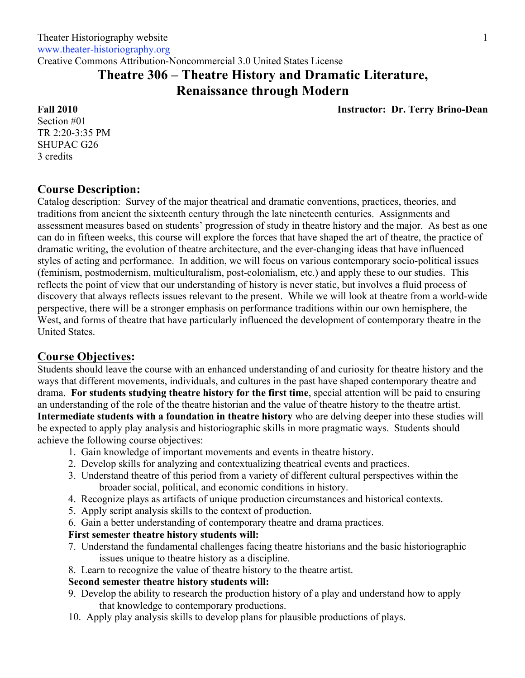Creative Commons Attribution-Noncommercial 3.0 United States License

# **Theatre 306 – Theatre History and Dramatic Literature, Renaissance through Modern**

**Instructor: Dr. Terry Brino-Dean**

**Fall 2010** Section #01 TR 2:20-3:35 PM SHUPAC G26 3 credits

## **Course Description:**

Catalog description: Survey of the major theatrical and dramatic conventions, practices, theories, and traditions from ancient the sixteenth century through the late nineteenth centuries. Assignments and assessment measures based on students' progression of study in theatre history and the major. As best as one can do in fifteen weeks, this course will explore the forces that have shaped the art of theatre, the practice of dramatic writing, the evolution of theatre architecture, and the ever-changing ideas that have influenced styles of acting and performance. In addition, we will focus on various contemporary socio-political issues (feminism, postmodernism, multiculturalism, post-colonialism, etc.) and apply these to our studies. This reflects the point of view that our understanding of history is never static, but involves a fluid process of discovery that always reflects issues relevant to the present. While we will look at theatre from a world-wide perspective, there will be a stronger emphasis on performance traditions within our own hemisphere, the West, and forms of theatre that have particularly influenced the development of contemporary theatre in the United States.

## **Course Objectives:**

Students should leave the course with an enhanced understanding of and curiosity for theatre history and the ways that different movements, individuals, and cultures in the past have shaped contemporary theatre and drama. **For students studying theatre history for the first time**, special attention will be paid to ensuring an understanding of the role of the theatre historian and the value of theatre history to the theatre artist. **Intermediate students with a foundation in theatre history** who are delving deeper into these studies will be expected to apply play analysis and historiographic skills in more pragmatic ways.Students should achieve the following course objectives:

- 1. Gain knowledge of important movements and events in theatre history.
- 2. Develop skills for analyzing and contextualizing theatrical events and practices.
- 3. Understand theatre of this period from a variety of different cultural perspectives within the broader social, political, and economic conditions in history.
- 4. Recognize plays as artifacts of unique production circumstances and historical contexts.
- 5. Apply script analysis skills to the context of production.
- 6. Gain a better understanding of contemporary theatre and drama practices.

## **First semester theatre history students will:**

- 7. Understand the fundamental challenges facing theatre historians and the basic historiographic issues unique to theatre history as a discipline.
- 8. Learn to recognize the value of theatre history to the theatre artist.

### **Second semester theatre history students will:**

- 9. Develop the ability to research the production history of a play and understand how to apply that knowledge to contemporary productions.
- 10. Apply play analysis skills to develop plans for plausible productions of plays.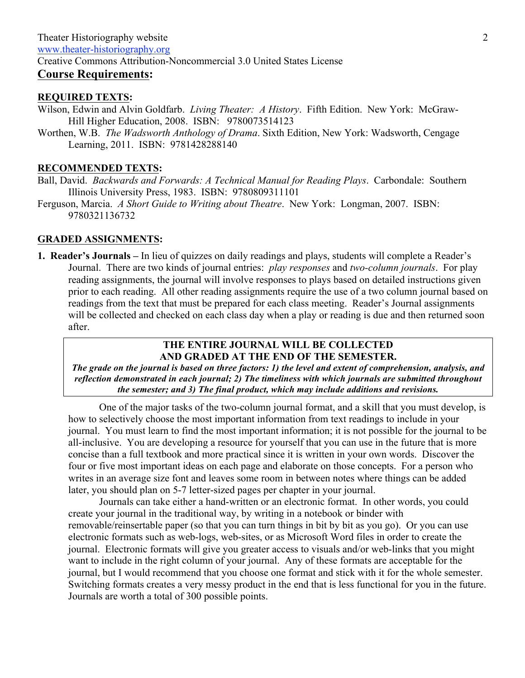## **REQUIRED TEXTS:**

Wilson, Edwin and Alvin Goldfarb. *Living Theater: A History*. Fifth Edition. New York: McGraw-Hill Higher Education, 2008. ISBN: 9780073514123

Worthen, W.B. *The Wadsworth Anthology of Drama*. Sixth Edition, New York: Wadsworth, Cengage Learning, 2011. ISBN: 9781428288140

#### **RECOMMENDED TEXTS:**

Ball, David. *Backwards and Forwards: A Technical Manual for Reading Plays*. Carbondale: Southern Illinois University Press, 1983. ISBN: 9780809311101

Ferguson, Marcia. *A Short Guide to Writing about Theatre*. New York: Longman, 2007. ISBN: 9780321136732

### **GRADED ASSIGNMENTS:**

**1. Reader's Journals –** In lieu of quizzes on daily readings and plays, students will complete a Reader's Journal. There are two kinds of journal entries: *play responses* and *two-column journals*. For play reading assignments, the journal will involve responses to plays based on detailed instructions given prior to each reading. All other reading assignments require the use of a two column journal based on readings from the text that must be prepared for each class meeting. Reader's Journal assignments will be collected and checked on each class day when a play or reading is due and then returned soon after.

## **THE ENTIRE JOURNAL WILL BE COLLECTED AND GRADED AT THE END OF THE SEMESTER.**

*The grade on the journal is based on three factors: 1) the level and extent of comprehension, analysis, and reflection demonstrated in each journal; 2) The timeliness with which journals are submitted throughout the semester; and 3) The final product, which may include additions and revisions.*

One of the major tasks of the two-column journal format, and a skill that you must develop, is how to selectively choose the most important information from text readings to include in your journal. You must learn to find the most important information; it is not possible for the journal to be all-inclusive. You are developing a resource for yourself that you can use in the future that is more concise than a full textbook and more practical since it is written in your own words. Discover the four or five most important ideas on each page and elaborate on those concepts. For a person who writes in an average size font and leaves some room in between notes where things can be added later, you should plan on 5-7 letter-sized pages per chapter in your journal.

Journals can take either a hand-written or an electronic format. In other words, you could create your journal in the traditional way, by writing in a notebook or binder with removable/reinsertable paper (so that you can turn things in bit by bit as you go). Or you can use electronic formats such as web-logs, web-sites, or as Microsoft Word files in order to create the journal. Electronic formats will give you greater access to visuals and/or web-links that you might want to include in the right column of your journal. Any of these formats are acceptable for the journal, but I would recommend that you choose one format and stick with it for the whole semester. Switching formats creates a very messy product in the end that is less functional for you in the future. Journals are worth a total of 300 possible points.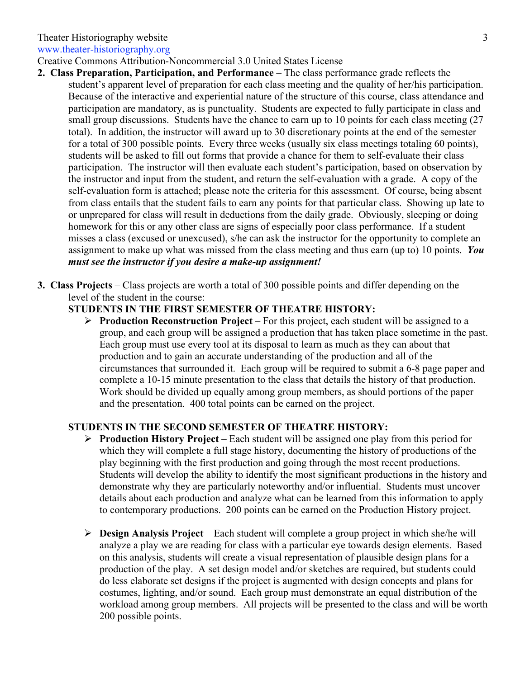## Theater Historiography website

www.theater-historiography.org

Creative Commons Attribution-Noncommercial 3.0 United States License

- **2. Class Preparation, Participation, and Performance** The class performance grade reflects the student's apparent level of preparation for each class meeting and the quality of her/his participation. Because of the interactive and experiential nature of the structure of this course, class attendance and participation are mandatory, as is punctuality. Students are expected to fully participate in class and small group discussions. Students have the chance to earn up to 10 points for each class meeting (27) total). In addition, the instructor will award up to 30 discretionary points at the end of the semester for a total of 300 possible points. Every three weeks (usually six class meetings totaling 60 points), students will be asked to fill out forms that provide a chance for them to self-evaluate their class participation. The instructor will then evaluate each student's participation, based on observation by the instructor and input from the student, and return the self-evaluation with a grade. A copy of the self-evaluation form is attached; please note the criteria for this assessment. Of course, being absent from class entails that the student fails to earn any points for that particular class. Showing up late to or unprepared for class will result in deductions from the daily grade. Obviously, sleeping or doing homework for this or any other class are signs of especially poor class performance. If a student misses a class (excused or unexcused), s/he can ask the instructor for the opportunity to complete an assignment to make up what was missed from the class meeting and thus earn (up to) 10 points. *You must see the instructor if you desire a make-up assignment!*
- **3. Class Projects** Class projects are worth a total of 300 possible points and differ depending on the level of the student in the course:

## **STUDENTS IN THE FIRST SEMESTER OF THEATRE HISTORY:**

 **Production Reconstruction Project** – For this project, each student will be assigned to a group, and each group will be assigned a production that has taken place sometime in the past. Each group must use every tool at its disposal to learn as much as they can about that production and to gain an accurate understanding of the production and all of the circumstances that surrounded it. Each group will be required to submit a 6-8 page paper and complete a 10-15 minute presentation to the class that details the history of that production. Work should be divided up equally among group members, as should portions of the paper and the presentation. 400 total points can be earned on the project.

## **STUDENTS IN THE SECOND SEMESTER OF THEATRE HISTORY:**

- **Production History Project –** Each student will be assigned one play from this period for which they will complete a full stage history, documenting the history of productions of the play beginning with the first production and going through the most recent productions. Students will develop the ability to identify the most significant productions in the history and demonstrate why they are particularly noteworthy and/or influential. Students must uncover details about each production and analyze what can be learned from this information to apply to contemporary productions. 200 points can be earned on the Production History project.
- **Design Analysis Project** Each student will complete a group project in which she/he will analyze a play we are reading for class with a particular eye towards design elements. Based on this analysis, students will create a visual representation of plausible design plans for a production of the play. A set design model and/or sketches are required, but students could do less elaborate set designs if the project is augmented with design concepts and plans for costumes, lighting, and/or sound. Each group must demonstrate an equal distribution of the workload among group members. All projects will be presented to the class and will be worth 200 possible points.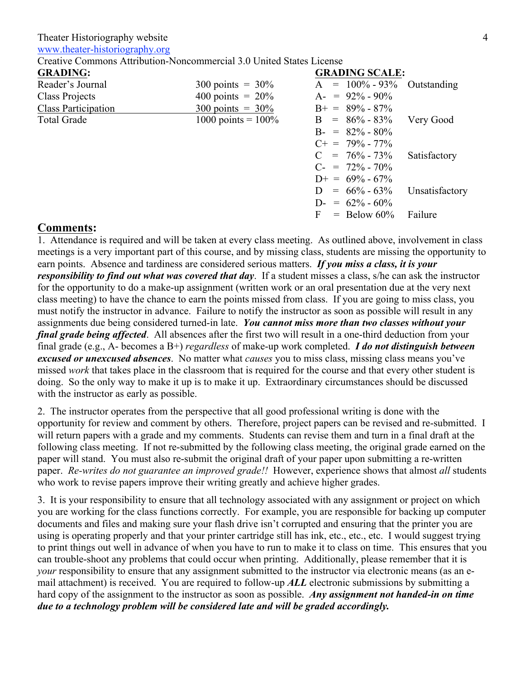### Theater Historiography website

www.theater-historiography.org

Creative Commons Attribution-Noncommercial 3.0 United States License

| <b>GRADING:</b>            |                             | <b>GRADING SCALE:</b> |                |
|----------------------------|-----------------------------|-----------------------|----------------|
| Reader's Journal           | $300 \text{ points} = 30\%$ | $A = 100\% - 93\%$    | Outstanding    |
| Class Projects             | 400 points = $20\%$         | $A = 92\% - 90\%$     |                |
| <b>Class Participation</b> | $300 \text{ points} = 30\%$ | $B_+ = 89\% - 87\%$   |                |
| <b>Total Grade</b>         | 1000 points = $100\%$       | $B = 86\% - 83\%$     | Very Good      |
|                            |                             | $B = 82\% - 80\%$     |                |
|                            |                             | $C_{+}$ = 79% - 77%   |                |
|                            |                             | $C = 76\% - 73\%$     | Satisfactory   |
|                            |                             | $C = 72\% - 70\%$     |                |
|                            |                             | $D_{+} = 69\% - 67\%$ |                |
|                            |                             | $D = 66\% - 63\%$     | Unsatisfactory |
|                            |                             | $D = 62\% - 60\%$     |                |
|                            |                             | $F =$ Below 60%       | Failure        |

## **Comments:**

1. Attendance is required and will be taken at every class meeting. As outlined above, involvement in class meetings is a very important part of this course, and by missing class, students are missing the opportunity to earn points. Absence and tardiness are considered serious matters. *If you miss a class, it is your responsibility to find out what was covered that day*. If a student misses a class, s/he can ask the instructor for the opportunity to do a make-up assignment (written work or an oral presentation due at the very next class meeting) to have the chance to earn the points missed from class. If you are going to miss class, you must notify the instructor in advance. Failure to notify the instructor as soon as possible will result in any assignments due being considered turned-in late. *You cannot miss more than two classes without your final grade being affected*. All absences after the first two will result in a one-third deduction from your final grade (e.g., A- becomes a B+) *regardless* of make-up work completed. *I do not distinguish between excused or unexcused absences*. No matter what *causes* you to miss class, missing class means you've missed *work* that takes place in the classroom that is required for the course and that every other student is doing. So the only way to make it up is to make it up. Extraordinary circumstances should be discussed with the instructor as early as possible.

2. The instructor operates from the perspective that all good professional writing is done with the opportunity for review and comment by others. Therefore, project papers can be revised and re-submitted. I will return papers with a grade and my comments. Students can revise them and turn in a final draft at the following class meeting. If not re-submitted by the following class meeting, the original grade earned on the paper will stand. You must also re-submit the original draft of your paper upon submitting a re-written paper. *Re-writes do not guarantee an improved grade!!* However, experience shows that almost *all* students who work to revise papers improve their writing greatly and achieve higher grades.

3. It is your responsibility to ensure that all technology associated with any assignment or project on which you are working for the class functions correctly. For example, you are responsible for backing up computer documents and files and making sure your flash drive isn't corrupted and ensuring that the printer you are using is operating properly and that your printer cartridge still has ink, etc., etc., etc. I would suggest trying to print things out well in advance of when you have to run to make it to class on time. This ensures that you can trouble-shoot any problems that could occur when printing. Additionally, please remember that it is *your* responsibility to ensure that any assignment submitted to the instructor via electronic means (as an email attachment) is received. You are required to follow-up *ALL* electronic submissions by submitting a hard copy of the assignment to the instructor as soon as possible. *Any assignment not handed-in on time due to a technology problem will be considered late and will be graded accordingly.*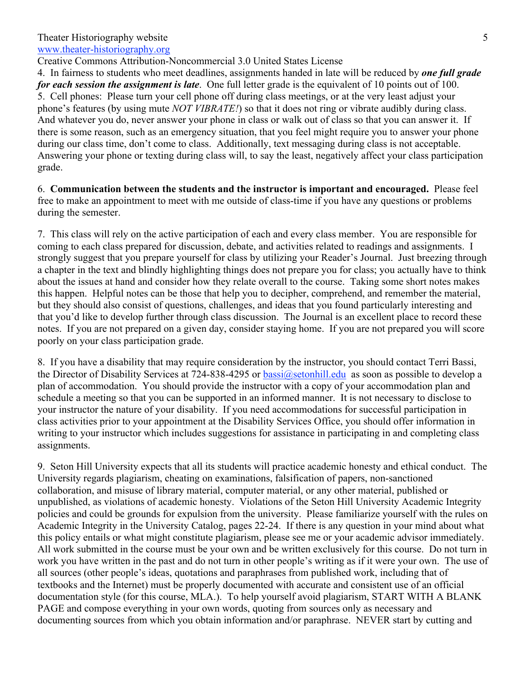www.theater-historiography.org

Creative Commons Attribution-Noncommercial 3.0 United States License

4. In fairness to students who meet deadlines, assignments handed in late will be reduced by *one full grade for each session the assignment is late*. One full letter grade is the equivalent of 10 points out of 100. 5. Cell phones: Please turn your cell phone off during class meetings, or at the very least adjust your phone's features (by using mute *NOT VIBRATE!*) so that it does not ring or vibrate audibly during class. And whatever you do, never answer your phone in class or walk out of class so that you can answer it. If there is some reason, such as an emergency situation, that you feel might require you to answer your phone during our class time, don't come to class. Additionally, text messaging during class is not acceptable. Answering your phone or texting during class will, to say the least, negatively affect your class participation grade.

6. **Communication between the students and the instructor is important and encouraged.** Please feel free to make an appointment to meet with me outside of class-time if you have any questions or problems during the semester.

7. This class will rely on the active participation of each and every class member. You are responsible for coming to each class prepared for discussion, debate, and activities related to readings and assignments. I strongly suggest that you prepare yourself for class by utilizing your Reader's Journal. Just breezing through a chapter in the text and blindly highlighting things does not prepare you for class; you actually have to think about the issues at hand and consider how they relate overall to the course. Taking some short notes makes this happen. Helpful notes can be those that help you to decipher, comprehend, and remember the material, but they should also consist of questions, challenges, and ideas that you found particularly interesting and that you'd like to develop further through class discussion. The Journal is an excellent place to record these notes. If you are not prepared on a given day, consider staying home. If you are not prepared you will score poorly on your class participation grade.

8. If you have a disability that may require consideration by the instructor, you should contact Terri Bassi, the Director of Disability Services at 724-838-4295 or bassi@setonhill.edu as soon as possible to develop a plan of accommodation. You should provide the instructor with a copy of your accommodation plan and schedule a meeting so that you can be supported in an informed manner. It is not necessary to disclose to your instructor the nature of your disability. If you need accommodations for successful participation in class activities prior to your appointment at the Disability Services Office, you should offer information in writing to your instructor which includes suggestions for assistance in participating in and completing class assignments.

9. Seton Hill University expects that all its students will practice academic honesty and ethical conduct. The University regards plagiarism, cheating on examinations, falsification of papers, non-sanctioned collaboration, and misuse of library material, computer material, or any other material, published or unpublished, as violations of academic honesty. Violations of the Seton Hill University Academic Integrity policies and could be grounds for expulsion from the university. Please familiarize yourself with the rules on Academic Integrity in the University Catalog, pages 22-24. If there is any question in your mind about what this policy entails or what might constitute plagiarism, please see me or your academic advisor immediately. All work submitted in the course must be your own and be written exclusively for this course. Do not turn in work you have written in the past and do not turn in other people's writing as if it were your own. The use of all sources (other people's ideas, quotations and paraphrases from published work, including that of textbooks and the Internet) must be properly documented with accurate and consistent use of an official documentation style (for this course, MLA.). To help yourself avoid plagiarism, START WITH A BLANK PAGE and compose everything in your own words, quoting from sources only as necessary and documenting sources from which you obtain information and/or paraphrase. NEVER start by cutting and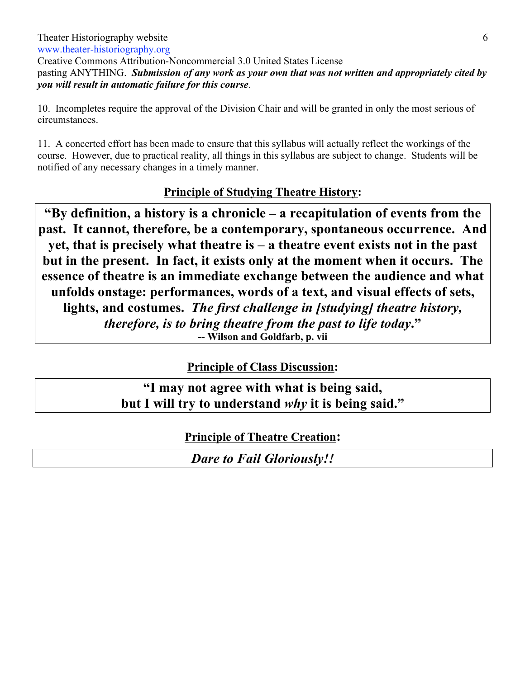pasting ANYTHING. *Submission of any work as your own that was not written and appropriately cited by you will result in automatic failure for this course*.

10. Incompletes require the approval of the Division Chair and will be granted in only the most serious of circumstances.

11. A concerted effort has been made to ensure that this syllabus will actually reflect the workings of the course. However, due to practical reality, all things in this syllabus are subject to change. Students will be notified of any necessary changes in a timely manner.

# **Principle of Studying Theatre History:**

**"By definition, a history is a chronicle – a recapitulation of events from the past. It cannot, therefore, be a contemporary, spontaneous occurrence. And yet, that is precisely what theatre is – a theatre event exists not in the past but in the present. In fact, it exists only at the moment when it occurs. The essence of theatre is an immediate exchange between the audience and what unfolds onstage: performances, words of a text, and visual effects of sets, lights, and costumes.** *The first challenge in [studying] theatre history, therefore, is to bring theatre from the past to life today***." -- Wilson and Goldfarb, p. vii**

**Principle of Class Discussion:**

**"I may not agree with what is being said, but I will try to understand** *why* **it is being said."**

**Principle of Theatre Creation:**

*Dare to Fail Gloriously!!*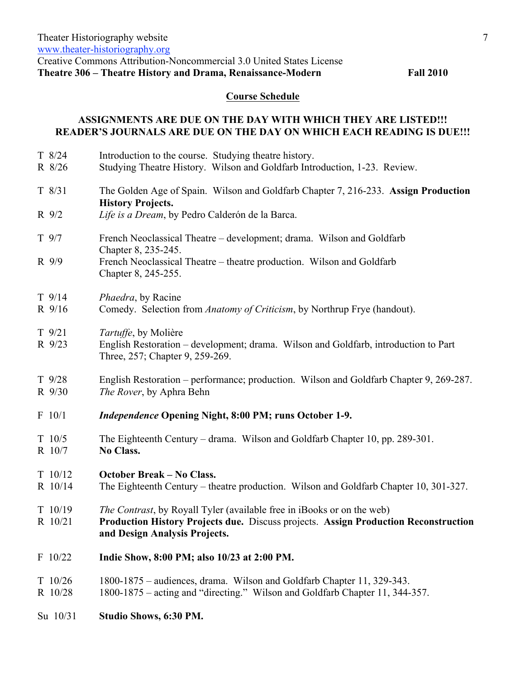## **Course Schedule**

## **ASSIGNMENTS ARE DUE ON THE DAY WITH WHICH THEY ARE LISTED!!! READER'S JOURNALS ARE DUE ON THE DAY ON WHICH EACH READING IS DUE!!!**

| $T$ 8/24<br>R 8/26   | Introduction to the course. Studying theatre history.<br>Studying Theatre History. Wilson and Goldfarb Introduction, 1-23. Review.                                                                     |
|----------------------|--------------------------------------------------------------------------------------------------------------------------------------------------------------------------------------------------------|
| $T \frac{8}{31}$     | The Golden Age of Spain. Wilson and Goldfarb Chapter 7, 216-233. Assign Production<br><b>History Projects.</b>                                                                                         |
| $R \frac{9}{2}$      | Life is a Dream, by Pedro Calderón de la Barca.                                                                                                                                                        |
| $T$ 9/7              | French Neoclassical Theatre – development; drama. Wilson and Goldfarb<br>Chapter 8, 235-245.                                                                                                           |
| R 9/9                | French Neoclassical Theatre – theatre production. Wilson and Goldfarb<br>Chapter 8, 245-255.                                                                                                           |
| $T$ 9/14<br>R 9/16   | <i>Phaedra</i> , by Racine<br>Comedy. Selection from Anatomy of Criticism, by Northrup Frye (handout).                                                                                                 |
| $T$ 9/21<br>R 9/23   | Tartuffe, by Molière<br>English Restoration – development; drama. Wilson and Goldfarb, introduction to Part<br>Three, 257; Chapter 9, 259-269.                                                         |
| $T$ 9/28<br>R 9/30   | English Restoration – performance; production. Wilson and Goldfarb Chapter 9, 269-287.<br>The Rover, by Aphra Behn                                                                                     |
| F 10/1               | <i>Independence Opening Night, 8:00 PM; runs October 1-9.</i>                                                                                                                                          |
| $T$ 10/5<br>R 10/7   | The Eighteenth Century – drama. Wilson and Goldfarb Chapter 10, pp. 289-301.<br>No Class.                                                                                                              |
| T 10/12<br>R 10/14   | <b>October Break – No Class.</b><br>The Eighteenth Century – theatre production. Wilson and Goldfarb Chapter 10, 301-327.                                                                              |
| $T$ 10/19<br>R 10/21 | <i>The Contrast</i> , by Royall Tyler (available free in iBooks or on the web)<br>Production History Projects due. Discuss projects. Assign Production Reconstruction<br>and Design Analysis Projects. |
| F 10/22              | Indie Show, 8:00 PM; also 10/23 at 2:00 PM.                                                                                                                                                            |
| T 10/26<br>R 10/28   | 1800-1875 – audiences, drama. Wilson and Goldfarb Chapter 11, 329-343.<br>1800-1875 – acting and "directing." Wilson and Goldfarb Chapter 11, 344-357.                                                 |
| Su 10/31             | Studio Shows, 6:30 PM.                                                                                                                                                                                 |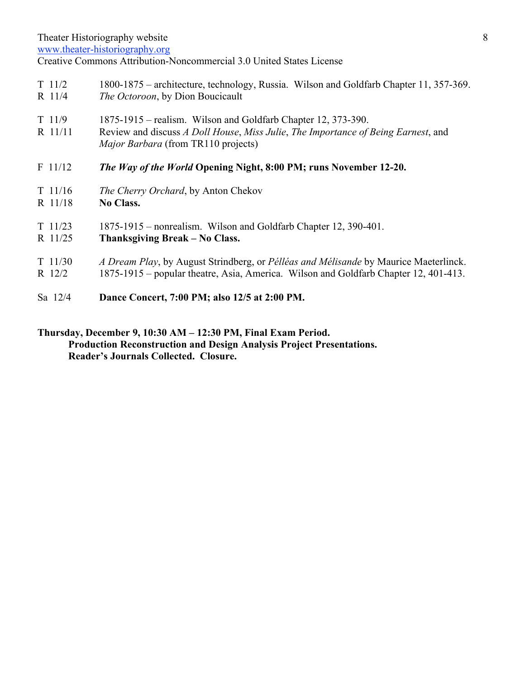Theater Historiography website

www.theater-historiography.org

Creative Commons Attribution-Noncommercial 3.0 United States License

| $T$ 11/2            | 1800-1875 – architecture, technology, Russia. Wilson and Goldfarb Chapter 11, 357-369.                                                                                                           |
|---------------------|--------------------------------------------------------------------------------------------------------------------------------------------------------------------------------------------------|
| R 11/4              | <i>The Octoroon</i> , by Dion Boucicault                                                                                                                                                         |
| $T$ 11/9<br>R 11/11 | 1875-1915 – realism. Wilson and Goldfarb Chapter 12, 373-390.<br>Review and discuss A Doll House, Miss Julie, The Importance of Being Earnest, and<br><i>Major Barbara</i> (from TR110 projects) |
| $F$ 11/12           | The Way of the World Opening Night, 8:00 PM; runs November 12-20.                                                                                                                                |
| $T$ 11/16           | The Cherry Orchard, by Anton Chekov                                                                                                                                                              |
| R 11/18             | <b>No Class.</b>                                                                                                                                                                                 |
| $T \frac{11}{23}$   | 1875-1915 – nonrealism. Wilson and Goldfarb Chapter 12, 390-401.                                                                                                                                 |
| R 11/25             | Thanksgiving Break – No Class.                                                                                                                                                                   |
| $T \frac{11}{30}$   | A Dream Play, by August Strindberg, or Pélléas and Mélisande by Maurice Maeterlinck.                                                                                                             |
| R 12/2              | 1875-1915 – popular theatre, Asia, America. Wilson and Goldfarb Chapter 12, 401-413.                                                                                                             |
| Sa 12/4             | Dance Concert, 7:00 PM; also 12/5 at 2:00 PM.                                                                                                                                                    |

## **Thursday, December 9, 10:30 AM – 12:30 PM, Final Exam Period. Production Reconstruction and Design Analysis Project Presentations. Reader's Journals Collected. Closure.**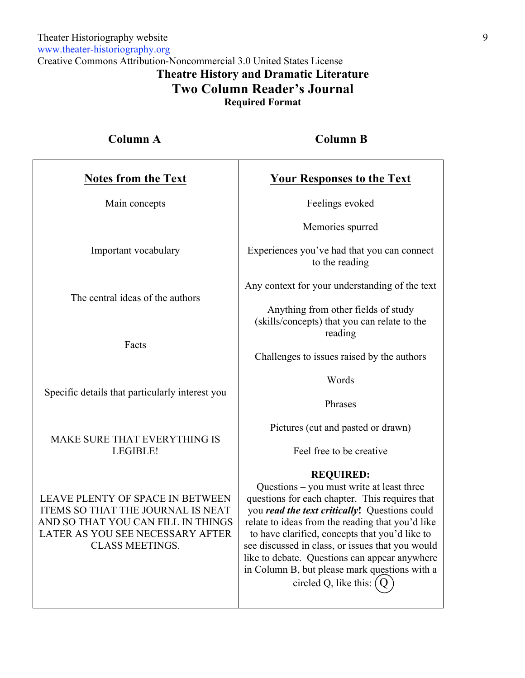Creative Commons Attribution-Noncommercial 3.0 United States License **Theatre History and Dramatic Literature Two Column Reader's Journal**

**Required Format**

| <b>Column A</b>                                                                                                                                                           | <b>Column B</b>                                                                                                                                                                                                                                                                                                                                                                                                              |  |  |  |
|---------------------------------------------------------------------------------------------------------------------------------------------------------------------------|------------------------------------------------------------------------------------------------------------------------------------------------------------------------------------------------------------------------------------------------------------------------------------------------------------------------------------------------------------------------------------------------------------------------------|--|--|--|
| <b>Notes from the Text</b>                                                                                                                                                | <b>Your Responses to the Text</b>                                                                                                                                                                                                                                                                                                                                                                                            |  |  |  |
| Main concepts                                                                                                                                                             | Feelings evoked                                                                                                                                                                                                                                                                                                                                                                                                              |  |  |  |
|                                                                                                                                                                           | Memories spurred                                                                                                                                                                                                                                                                                                                                                                                                             |  |  |  |
| Important vocabulary                                                                                                                                                      | Experiences you've had that you can connect<br>to the reading                                                                                                                                                                                                                                                                                                                                                                |  |  |  |
|                                                                                                                                                                           | Any context for your understanding of the text                                                                                                                                                                                                                                                                                                                                                                               |  |  |  |
| The central ideas of the authors                                                                                                                                          | Anything from other fields of study<br>(skills/concepts) that you can relate to the<br>reading                                                                                                                                                                                                                                                                                                                               |  |  |  |
| Facts                                                                                                                                                                     | Challenges to issues raised by the authors                                                                                                                                                                                                                                                                                                                                                                                   |  |  |  |
|                                                                                                                                                                           | Words                                                                                                                                                                                                                                                                                                                                                                                                                        |  |  |  |
| Specific details that particularly interest you                                                                                                                           | Phrases                                                                                                                                                                                                                                                                                                                                                                                                                      |  |  |  |
|                                                                                                                                                                           | Pictures (cut and pasted or drawn)                                                                                                                                                                                                                                                                                                                                                                                           |  |  |  |
| MAKE SURE THAT EVERYTHING IS<br>LEGIBLE!                                                                                                                                  | Feel free to be creative                                                                                                                                                                                                                                                                                                                                                                                                     |  |  |  |
| LEAVE PLENTY OF SPACE IN BETWEEN<br>ITEMS SO THAT THE JOURNAL IS NEAT<br>AND SO THAT YOU CAN FILL IN THINGS<br>LATER AS YOU SEE NECESSARY AFTER<br><b>CLASS MEETINGS.</b> | <b>REQUIRED:</b><br>Questions – you must write at least three<br>questions for each chapter. This requires that<br>you read the text critically! Questions could<br>relate to ideas from the reading that you'd like<br>to have clarified, concepts that you'd like to<br>see discussed in class, or issues that you would<br>like to debate. Questions can appear anywhere<br>in Column B, but please mark questions with a |  |  |  |

questions for each chapter. This requires that you *read the text critically***!** Questions could relate to ideas from the reading that you'd like to have clarified, concepts that you'd like to see discussed in class, or issues that you would like to debate. Questions can appear anywhere in Column B, but please mark questions with a circled Q, like this:  $(Q)$